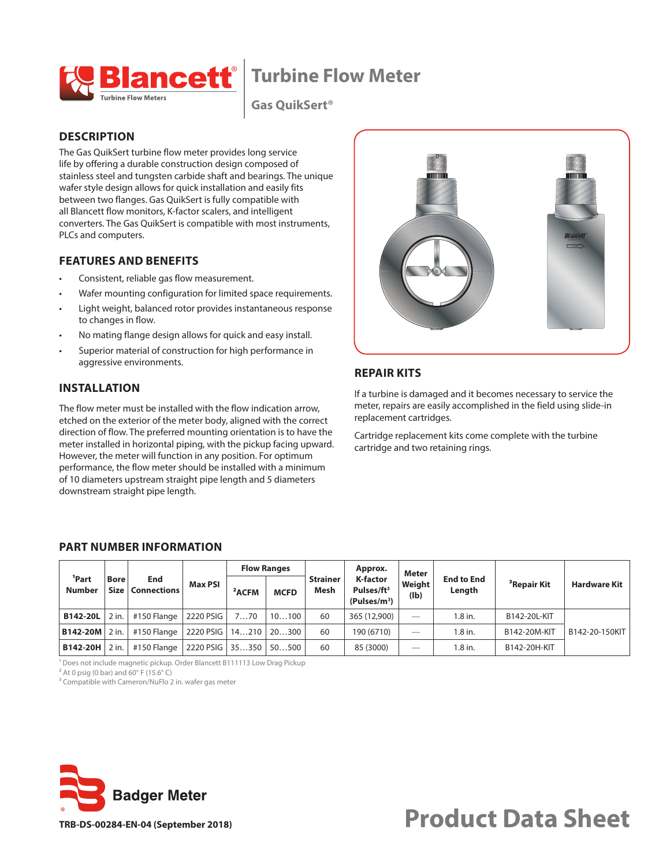**Turbine Flow Meter**



**Gas QuikSert®** 

### **DESCRIPTION**

The Gas QuikSert turbine flow meter provides long service life by offering a durable construction design composed of stainless steel and tungsten carbide shaft and bearings. The unique wafer style design allows for quick installation and easily fits between two flanges. Gas QuikSert is fully compatible with all Blancett flow monitors, K-factor scalers, and intelligent converters. The Gas QuikSert is compatible with most instruments, PLCs and computers.

### **FEATURES AND BENEFITS**

- Consistent, reliable gas flow measurement.
- Wafer mounting configuration for limited space requirements.
- Light weight, balanced rotor provides instantaneous response to changes in flow.
- No mating flange design allows for quick and easy install.
- Superior material of construction for high performance in aggressive environments.

## **INSTALLATION**

The flow meter must be installed with the flow indication arrow, etched on the exterior of the meter body, aligned with the correct direction of flow. The preferred mounting orientation is to have the meter installed in horizontal piping, with the pickup facing upward. However, the meter will function in any position. For optimum performance, the flow meter should be installed with a minimum of 10 diameters upstream straight pipe length and 5 diameters downstream straight pipe length.



# **REPAIR KITS**

If a turbine is damaged and it becomes necessary to service the meter, repairs are easily accomplished in the field using slide-in replacement cartridges.

Cartridge replacement kits come complete with the turbine cartridge and two retaining rings.

#### <span id="page-0-0"></span>**PART NUMBER INFORMATION**

|                                    |                     |                           |                | <b>Flow Ranges</b> |             |                                | Approx.                                                               | <b>Meter</b>             |                             |                         |                     |
|------------------------------------|---------------------|---------------------------|----------------|--------------------|-------------|--------------------------------|-----------------------------------------------------------------------|--------------------------|-----------------------------|-------------------------|---------------------|
| <sup>1</sup> Part<br><b>Number</b> | <b>Bore</b><br>Size | End<br><b>Connections</b> | <b>Max PSI</b> | <sup>2</sup> ACFM  | <b>MCFD</b> | <b>Strainer</b><br><b>Mesh</b> | <b>K-factor</b><br>Pulses/ft <sup>3</sup><br>(Pulses/m <sup>3</sup> ) | Weight<br>(Ib)           | <b>End to End</b><br>Length | <sup>3</sup> Repair Kit | <b>Hardware Kit</b> |
| <b>B142-20L</b>                    | 2 in.               | #150 Flange               | 2220 PSIG      | 770                | 10100       | 60                             | 365 (12,900)                                                          |                          | 1.8 in.                     | B142-20L-KIT            |                     |
| <b>B142-20M</b>                    | 2 in.               | #150 Flange               | 2220 PSIG      | 14210              | 20300       | 60                             | 190 (6710)                                                            | $\overline{\phantom{a}}$ | 1.8 in.                     | B142-20M-KIT            | B142-20-150KIT      |
| B142-20H                           | $2$ in.             | #150 Flange               | 2220 PSIG      | 35350              | 50500       | 60                             | 85 (3000)                                                             | $\overline{\phantom{a}}$ | 1.8 in.                     | B142-20H-KIT            |                     |

<sup>1</sup> Does not include magnetic pickup. Order Blancett B111113 Low Drag Pickup

 $2$  At 0 psig (0 bar) and 60 $\degree$  F (15.6 $\degree$  C)

<sup>3</sup> Compatible with Cameron/NuFlo 2 in. wafer gas meter



**Product Data Sheet**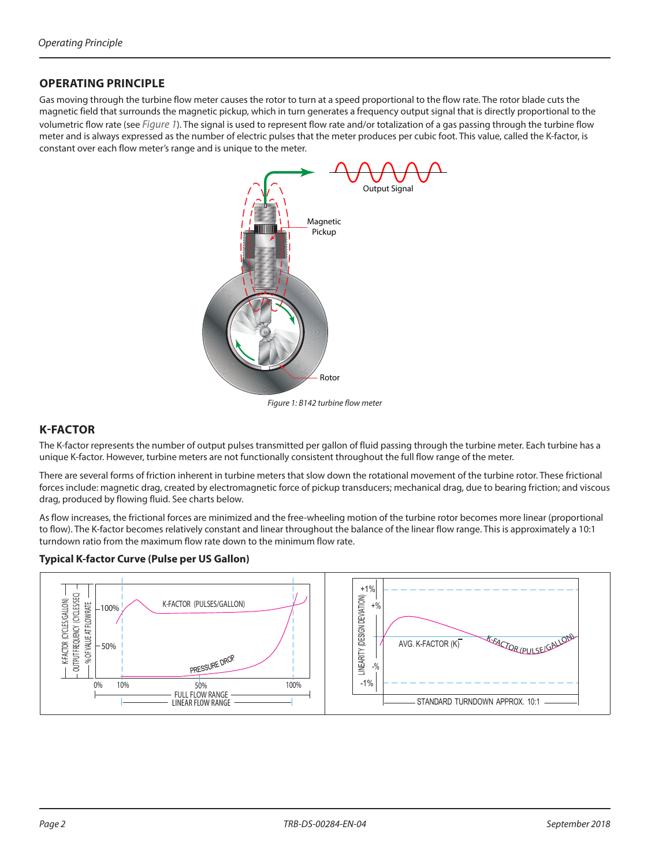### **OPERATING PRINCIPLE**

Gas moving through the turbine flow meter causes the rotor to turn at a speed proportional to the flow rate. The rotor blade cuts the magnetic field that surrounds the magnetic pickup, which in turn generates a frequency output signal that is directly proportional to the volumetric flow rate (see *[Figure 1](#page-1-0)*). The signal is used to represent flow rate and/or totalization of a gas passing through the turbine flow meter and is always expressed as the number of electric pulses that the meter produces per cubic foot. This value, called the K-factor, is constant over each flow meter's range and is unique to the meter.



<span id="page-1-0"></span>*Figure 1: B142 turbine flow meter*

## **K-FACTOR**

The K-factor represents the number of output pulses transmitted per gallon of fluid passing through the turbine meter. Each turbine has a unique K-factor. However, turbine meters are not functionally consistent throughout the full flow range of the meter.

There are several forms of friction inherent in turbine meters that slow down the rotational movement of the turbine rotor. These frictional forces include: magnetic drag, created by electromagnetic force of pickup transducers; mechanical drag, due to bearing friction; and viscous drag, produced by flowing fluid. See charts below.

As flow increases, the frictional forces are minimized and the free-wheeling motion of the turbine rotor becomes more linear (proportional to flow). The K-factor becomes relatively constant and linear throughout the balance of the linear flow range. This is approximately a 10:1 turndown ratio from the maximum flow rate down to the minimum flow rate.

#### **Typical K-factor Curve (Pulse per US Gallon)**

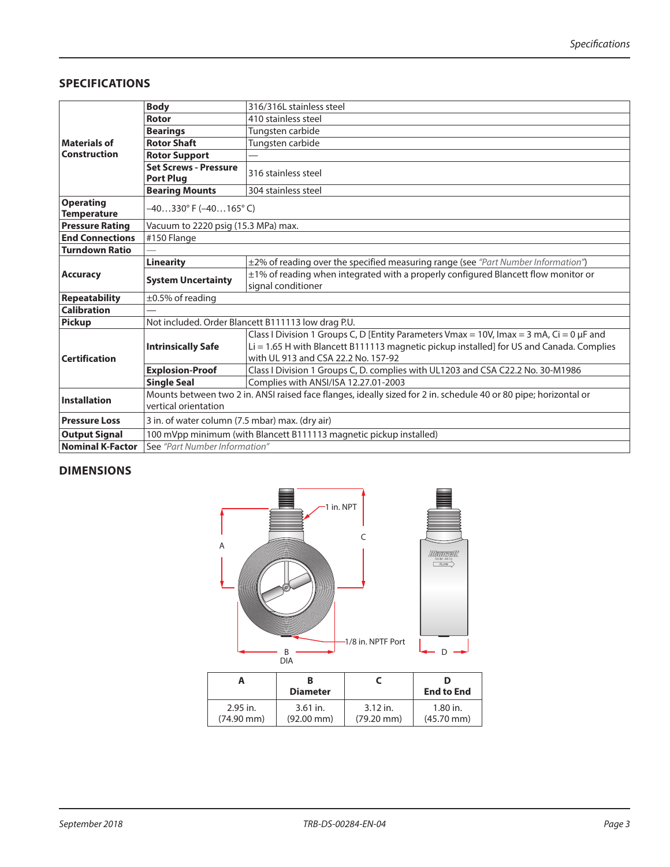## **SPECIFICATIONS**

|                                        | <b>Body</b>                                                                                                                              | 316/316L stainless steel                                                                      |  |  |  |  |
|----------------------------------------|------------------------------------------------------------------------------------------------------------------------------------------|-----------------------------------------------------------------------------------------------|--|--|--|--|
|                                        | Rotor                                                                                                                                    | 410 stainless steel                                                                           |  |  |  |  |
|                                        | <b>Bearings</b>                                                                                                                          | Tungsten carbide                                                                              |  |  |  |  |
| <b>Materials of</b>                    | <b>Rotor Shaft</b>                                                                                                                       | Tungsten carbide                                                                              |  |  |  |  |
| <b>Construction</b>                    | <b>Rotor Support</b>                                                                                                                     |                                                                                               |  |  |  |  |
|                                        | <b>Set Screws - Pressure</b><br><b>Port Plug</b>                                                                                         | 316 stainless steel                                                                           |  |  |  |  |
|                                        | <b>Bearing Mounts</b>                                                                                                                    | 304 stainless steel                                                                           |  |  |  |  |
| <b>Operating</b><br><b>Temperature</b> | $-40330^{\circ}$ F ( $-40165^{\circ}$ C)                                                                                                 |                                                                                               |  |  |  |  |
| <b>Pressure Rating</b>                 | Vacuum to 2220 psig (15.3 MPa) max.                                                                                                      |                                                                                               |  |  |  |  |
| <b>End Connections</b>                 | #150 Flange                                                                                                                              |                                                                                               |  |  |  |  |
| <b>Turndown Ratio</b>                  |                                                                                                                                          |                                                                                               |  |  |  |  |
|                                        | <b>Linearity</b>                                                                                                                         | ±2% of reading over the specified measuring range (see "Part Number Information")             |  |  |  |  |
| <b>Accuracy</b>                        | <b>System Uncertainty</b>                                                                                                                | ±1% of reading when integrated with a properly configured Blancett flow monitor or            |  |  |  |  |
|                                        |                                                                                                                                          | signal conditioner                                                                            |  |  |  |  |
| <b>Repeatability</b>                   | $\pm 0.5\%$ of reading                                                                                                                   |                                                                                               |  |  |  |  |
| <b>Calibration</b>                     |                                                                                                                                          |                                                                                               |  |  |  |  |
| <b>Pickup</b>                          | Not included. Order Blancett B111113 low drag P.U.                                                                                       |                                                                                               |  |  |  |  |
|                                        |                                                                                                                                          | Class I Division 1 Groups C, D [Entity Parameters Vmax = 10V, Imax = 3 mA, Ci = 0 $\mu$ F and |  |  |  |  |
|                                        | <b>Intrinsically Safe</b>                                                                                                                | Li = 1.65 H with Blancett B111113 magnetic pickup installed] for US and Canada. Complies      |  |  |  |  |
| <b>Certification</b>                   |                                                                                                                                          | with UL 913 and CSA 22.2 No. 157-92                                                           |  |  |  |  |
|                                        | <b>Explosion-Proof</b>                                                                                                                   | Class I Division 1 Groups C, D. complies with UL1203 and CSA C22.2 No. 30-M1986               |  |  |  |  |
|                                        | <b>Single Seal</b>                                                                                                                       | Complies with ANSI/ISA 12.27.01-2003                                                          |  |  |  |  |
| <b>Installation</b>                    | Mounts between two 2 in. ANSI raised face flanges, ideally sized for 2 in. schedule 40 or 80 pipe; horizontal or<br>vertical orientation |                                                                                               |  |  |  |  |
| <b>Pressure Loss</b>                   | 3 in. of water column (7.5 mbar) max. (dry air)                                                                                          |                                                                                               |  |  |  |  |
| <b>Output Signal</b>                   | 100 mVpp minimum (with Blancett B111113 magnetic pickup installed)                                                                       |                                                                                               |  |  |  |  |
| <b>Nominal K-Factor</b>                | See "Part Number Information"                                                                                                            |                                                                                               |  |  |  |  |

# **DIMENSIONS**



|                      | <b>Diameter</b>      |                      | D<br><b>End to End</b> |
|----------------------|----------------------|----------------------|------------------------|
| $2.95$ in.           | $3.61$ in.           | $3.12$ in.           | 1.80 in.               |
| $(74.90 \text{ mm})$ | $(92.00 \text{ mm})$ | $(79.20 \text{ mm})$ | $(45.70 \text{ mm})$   |